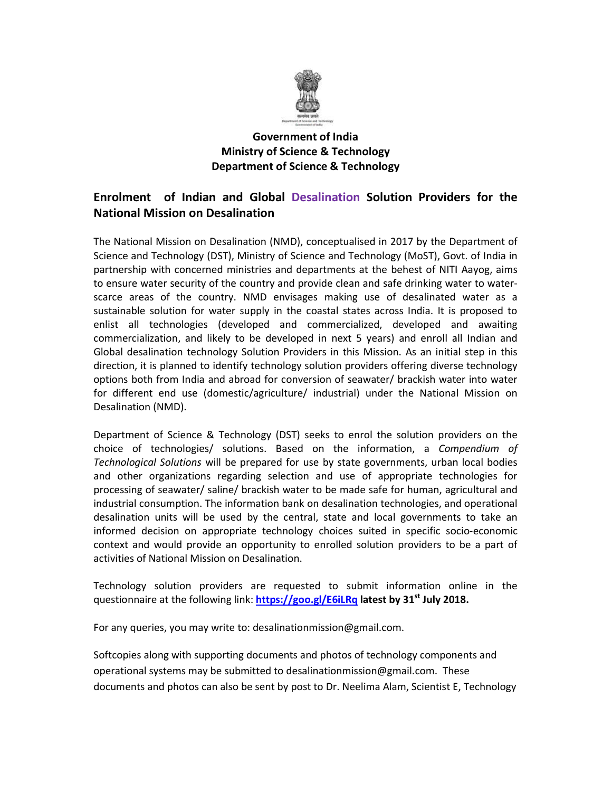

## **Ministry of Science & Technology Department of Science & Technology Government of India**

## **Enrolment of Science & Technology<br>
<b>Enrolment** of Indian and Global Desalination Solution Providers for the **National Mission on Desalination**

The National Mission on Desalination (NMD), on conceptualised in 2017 by the Department of The National Mission on Desalination (NMD), conceptualised in 2017 by the Department of<br>Science and Technology (DST), Ministry of Science and Technology (MoST), Govt. of India in partnership with concerned ministries and departments at the behest of NITI Aayog, aims to ensure water security of the country and provide clean and safe drinking water to waterscarce areas of the country. NMD envisages making use of desalinated water as a<br>sustainable solution for water supply in the coastal states across India. It is proposed to sustainable solution for water supply in the coastal states across India. It is proposed to enlist all technologies (developed and commercialized, developed and awaiting commercialization, and likely to be developed in next 5 years) and enroll all Global desalination technology Solution Providers in this Mission. As an initial step in this direction, it is planned to identify technology solution providers offering diverse technology options both from India and abroad for conversion of seawater/ brackish water into water for different end use (domestic/agriculture/ industrial) under the National Mission on Desalination (NMD). developed and commercialized, developed and awaiting<br>Iy to be developed in next 5 years) and enroll all Indian and<br>ogy Solution Providers in this Mission. As an initial step in this scarce areas of the country. NMD envisages making use of desalinated water as a<br>sustainable solution for water supply in the coastal states across India. It is proposed to<br>enlist all technologies (developed and commerciali

Department of Science & Technology (DST) seeks to enrol the solution providers on the choice of technologies/ solutions. Based on the information, a *Compendium of Technological Solutions* will be prepared for use by state governments, urban local bodies<br>and other organizations regarding selection and use of appropriate technologies for<br>processing of seawater/ saline/ brackish water and other organizations regarding selection and use of appropriate technologies for and other organizations regarding selection and use of appropriate technologies<br>processing of seawater/ saline/ brackish water to be made safe for human, agricultural industrial consumption. The information bank on desalination technologies, and operational industrial consumption. The information bank on desalination technologies, and operational<br>desalination units will be used by the central, state and local governments to take an informed decision on appropriate technology choices suited in specific socio-economic context and would provide an opportunity to enrolled solution providers to be a part of<br>activities of National Mission on Desalination.<br>Technology solution providers are requested to submit information online in the activities of National Mission on Desalination.

Technology solution providers are requested to submit information online in the questionnaire at the following link: **https://goo.gl/E6iLRq latest by 31st July 2018. 2018.**

For any queries, you may write to: desalinationmission@gmail.com.

Softcopies along with supporting documents and photos of technology components and operational systems may be submitted to desalinationmission@gmail.com. These operational systems may be submitted to desalinationmission@gmail.com. These<br>documents and photos can also be sent by post to Dr. Neelima Alam, Scientist E, Technology